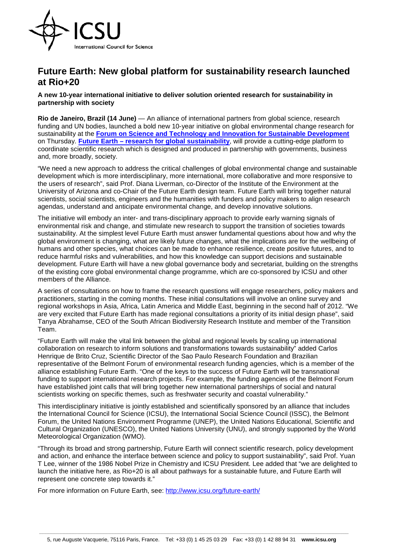

## **Future Earth: New global platform for sustainability research launched at Rio+20**

**A new 10-year international initiative to deliver solution oriented research for sustainability in partnership with society**

**Rio de Janeiro, Brazil (14 June)** — An alliance of international partners from global science, research funding and UN bodies, launched a bold new 10-year initiative on global environmental change research for sustainability at the **[Forum on Science and Technology and Innovation for Sustainable Development](http://www.icsu.org/rio20/science-and-technology-forum)** on Thursday. **Future Earth – [research for global sustainability](http://www.icsu.org/future-earth/)**, will provide a cutting-edge platform to coordinate scientific research which is designed and produced in partnership with governments, business and, more broadly, society.

"We need a new approach to address the critical challenges of global environmental change and sustainable development which is more interdisciplinary, more international, more collaborative and more responsive to the users of research", said Prof. Diana Liverman, co-Director of the Institute of the Environment at the University of Arizona and co-Chair of the Future Earth design team. Future Earth will bring together natural scientists, social scientists, engineers and the humanities with funders and policy makers to align research agendas, understand and anticipate environmental change, and develop innovative solutions.

The initiative will embody an inter- and trans-disciplinary approach to provide early warning signals of environmental risk and change, and stimulate new research to support the transition of societies towards sustainability. At the simplest level Future Earth must answer fundamental questions about how and why the global environment is changing, what are likely future changes, what the implications are for the wellbeing of humans and other species, what choices can be made to enhance resilience, create positive futures, and to reduce harmful risks and vulnerabilities, and how this knowledge can support decisions and sustainable development. Future Earth will have a new global governance body and secretariat, building on the strengths of the existing core global environmental change programme, which are co-sponsored by ICSU and other members of the Alliance.

A series of consultations on how to frame the research questions will engage researchers, policy makers and practitioners, starting in the coming months. These initial consultations will involve an online survey and regional workshops in Asia, Africa, Latin America and Middle East, beginning in the second half of 2012. "We are very excited that Future Earth has made regional consultations a priority of its initial design phase", said Tanya Abrahamse, CEO of the South African Biodiversity Research Institute and member of the Transition Team.

"Future Earth will make the vital link between the global and regional levels by scaling up international collaboration on research to inform solutions and transformations towards sustainability" added Carlos Henrique de Brito Cruz, Scientific Director of the Sao Paulo Research Foundation and Brazilian representative of the Belmont Forum of environmental research funding agencies, which is a member of the alliance establishing Future Earth. "One of the keys to the success of Future Earth will be transnational funding to support international research projects. For example, the funding agencies of the Belmont Forum have established joint calls that will bring together new international partnerships of social and natural scientists working on specific themes, such as freshwater security and coastal vulnerability."

This interdisciplinary initiative is jointly established and scientifically sponsored by an alliance that includes the International Council for Science (ICSU), the International Social Science Council (ISSC), the Belmont Forum, the United Nations Environment Programme (UNEP), the United Nations Educational, Scientific and Cultural Organization (UNESCO), the United Nations University (UNU), and strongly supported by the World Meteorological Organization (WMO).

"Through its broad and strong partnership, Future Earth will connect scientific research, policy development and action, and enhance the interface between science and policy to support sustainability", said Prof. Yuan T Lee, winner of the 1986 Nobel Prize in Chemistry and ICSU President. Lee added that "we are delighted to launch the initiative here, as Rio+20 is all about pathways for a sustainable future, and Future Earth will represent one concrete step towards it."

For more information on Future Earth, see:<http://www.icsu.org/future-earth/>